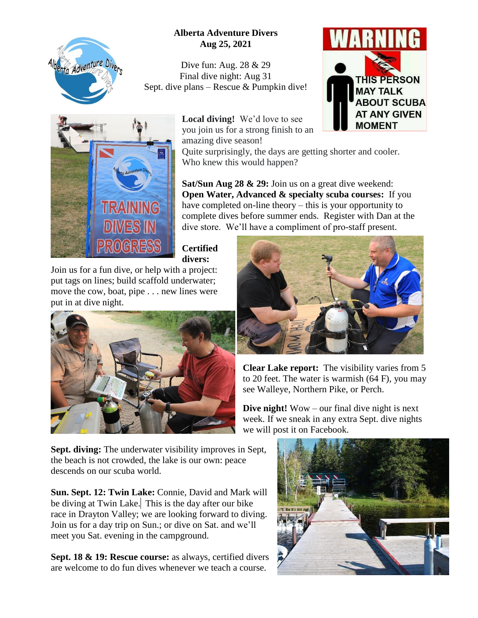

## **Alberta Adventure Divers Aug 25, 2021**

Dive fun: Aug. 28 & 29 Final dive night: Aug 31 Sept. dive plans – Rescue & Pumpkin dive!





**Local diving!** We'd love to see you join us for a strong finish to an amazing dive season!

Quite surprisingly, the days are getting shorter and cooler. Who knew this would happen?

**Sat/Sun Aug 28 & 29:** Join us on a great dive weekend: **Open Water, Advanced & specialty scuba courses:** If you have completed on-line theory – this is your opportunity to complete dives before summer ends. Register with Dan at the dive store. We'll have a compliment of pro-staff present.

**Certified divers:** 

Join us for a fun dive, or help with a project: put tags on lines; build scaffold underwater; move the cow, boat, pipe . . . new lines were put in at dive night.





**Clear Lake report:** The visibility varies from 5 to 20 feet. The water is warmish (64 F), you may see Walleye, Northern Pike, or Perch.

**Dive night!** Wow – our final dive night is next week. If we sneak in any extra Sept. dive nights we will post it on Facebook.

**Sept. diving:** The underwater visibility improves in Sept, the beach is not crowded, the lake is our own: peace descends on our scuba world.

**Sun. Sept. 12: Twin Lake:** Connie, David and Mark will be diving at Twin Lake. This is the day after our bike race in Drayton Valley; we are looking forward to diving. Join us for a day trip on Sun.; or dive on Sat. and we'll meet you Sat. evening in the campground.

**Sept. 18 & 19: Rescue course:** as always, certified divers are welcome to do fun dives whenever we teach a course.